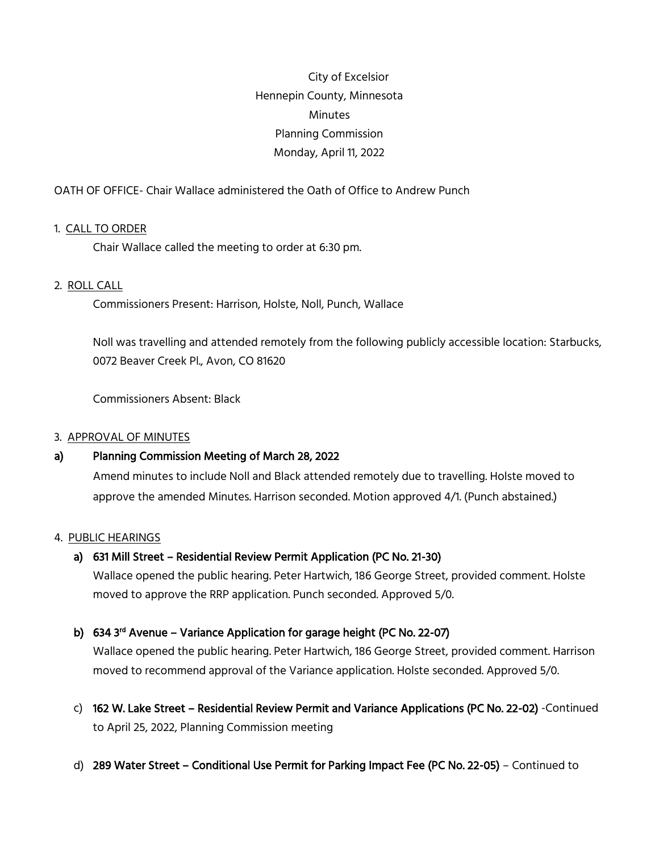City of Excelsior Hennepin County, Minnesota **Minutes** Planning Commission Monday, April 11, 2022

OATH OF OFFICE- Chair Wallace administered the Oath of Office to Andrew Punch

## 1. CALL TO ORDER

Chair Wallace called the meeting to order at 6:30 pm.

### 2. ROLL CALL

Commissioners Present: Harrison, Holste, Noll, Punch, Wallace

Noll was travelling and attended remotely from the following publicly accessible location: Starbucks, 0072 Beaver Creek Pl., Avon, CO 81620

Commissioners Absent: Black

#### 3. APPROVAL OF MINUTES

## a) Planning Commission Meeting of March 28, 2022

Amend minutes to include Noll and Black attended remotely due to travelling. Holste moved to approve the amended Minutes. Harrison seconded. Motion approved 4/1. (Punch abstained.)

#### 4. PUBLIC HEARINGS

## a) 631 Mill Street – Residential Review Permit Application (PC No. 21-30)

Wallace opened the public hearing. Peter Hartwich, 186 George Street, provided comment. Holste moved to approve the RRP application. Punch seconded. Approved 5/0.

# b) 634 3<sup>rd</sup> Avenue – Variance Application for garage height (PC No. 22-07)

Wallace opened the public hearing. Peter Hartwich, 186 George Street, provided comment. Harrison moved to recommend approval of the Variance application. Holste seconded. Approved 5/0.

- c) 162 W. Lake Street Residential Review Permit and Variance Applications (PC No. 22-02) -Continued to April 25, 2022, Planning Commission meeting
- d) 289 Water Street Conditional Use Permit for Parking Impact Fee (PC No. 22-05) Continued to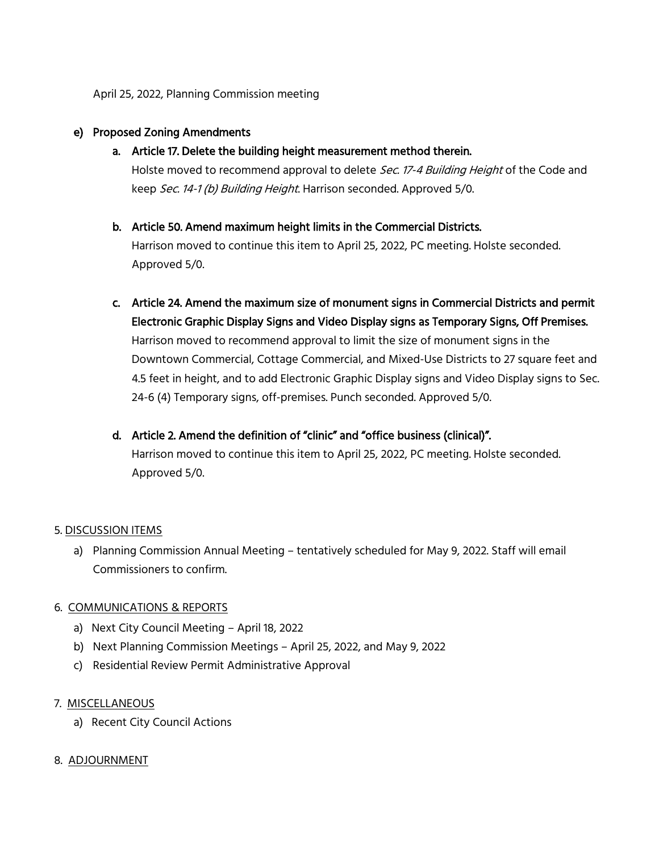April 25, 2022, Planning Commission meeting

## e) Proposed Zoning Amendments

a. Article 17. Delete the building height measurement method therein.

Holste moved to recommend approval to delete Sec. 17-4 Building Height of the Code and keep Sec. 14-1 (b) Building Height. Harrison seconded. Approved 5/0.

## b. Article 50. Amend maximum height limits in the Commercial Districts.

Harrison moved to continue this item to April 25, 2022, PC meeting. Holste seconded. Approved 5/0.

- c. Article 24. Amend the maximum size of monument signs in Commercial Districts and permit Electronic Graphic Display Signs and Video Display signs as Temporary Signs, Off Premises. Harrison moved to recommend approval to limit the size of monument signs in the Downtown Commercial, Cottage Commercial, and Mixed-Use Districts to 27 square feet and 4.5 feet in height, and to add Electronic Graphic Display signs and Video Display signs to Sec. 24-6 (4) Temporary signs, off-premises. Punch seconded. Approved 5/0.
- d. Article 2. Amend the definition of "clinic" and "office business (clinical)". Harrison moved to continue this item to April 25, 2022, PC meeting. Holste seconded. Approved 5/0.

## 5. DISCUSSION ITEMS

a) Planning Commission Annual Meeting – tentatively scheduled for May 9, 2022. Staff will email Commissioners to confirm.

## 6. COMMUNICATIONS & REPORTS

- a) Next City Council Meeting April 18, 2022
- b) Next Planning Commission Meetings April 25, 2022, and May 9, 2022
- c) Residential Review Permit Administrative Approval

## 7. MISCELLANEOUS

a) Recent City Council Actions

## 8. ADJOURNMENT